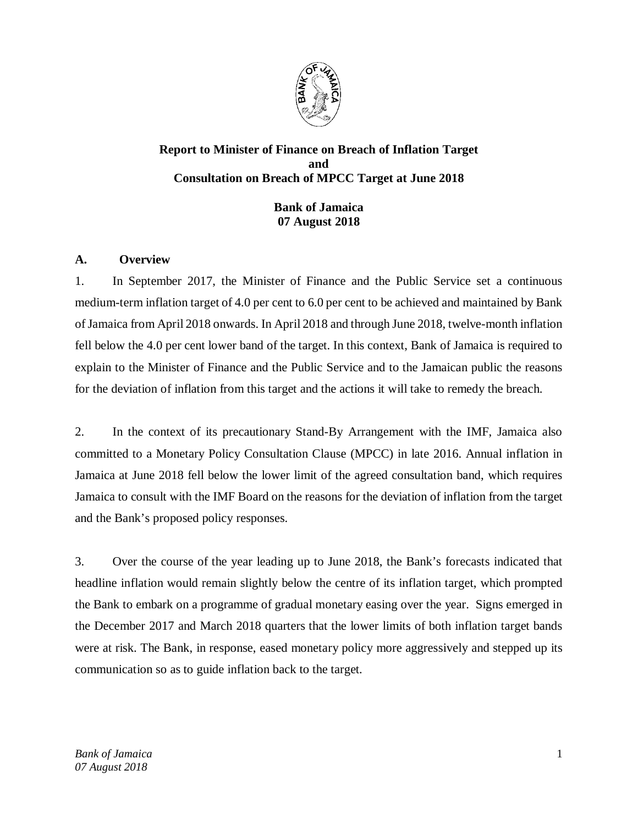

# **Report to Minister of Finance on Breach of Inflation Target and Consultation on Breach of MPCC Target at June 2018**

**Bank of Jamaica 07 August 2018**

# **A. Overview**

1. In September 2017, the Minister of Finance and the Public Service set a continuous medium-term inflation target of 4.0 per cent to 6.0 per cent to be achieved and maintained by Bank of Jamaica from April 2018 onwards. In April 2018 and through June 2018, twelve-month inflation fell below the 4.0 per cent lower band of the target. In this context, Bank of Jamaica is required to explain to the Minister of Finance and the Public Service and to the Jamaican public the reasons for the deviation of inflation from this target and the actions it will take to remedy the breach.

2. In the context of its precautionary Stand-By Arrangement with the IMF, Jamaica also committed to a Monetary Policy Consultation Clause (MPCC) in late 2016. Annual inflation in Jamaica at June 2018 fell below the lower limit of the agreed consultation band, which requires Jamaica to consult with the IMF Board on the reasons for the deviation of inflation from the target and the Bank's proposed policy responses.

3. Over the course of the year leading up to June 2018, the Bank's forecasts indicated that headline inflation would remain slightly below the centre of its inflation target, which prompted the Bank to embark on a programme of gradual monetary easing over the year. Signs emerged in the December 2017 and March 2018 quarters that the lower limits of both inflation target bands were at risk. The Bank, in response, eased monetary policy more aggressively and stepped up its communication so as to guide inflation back to the target.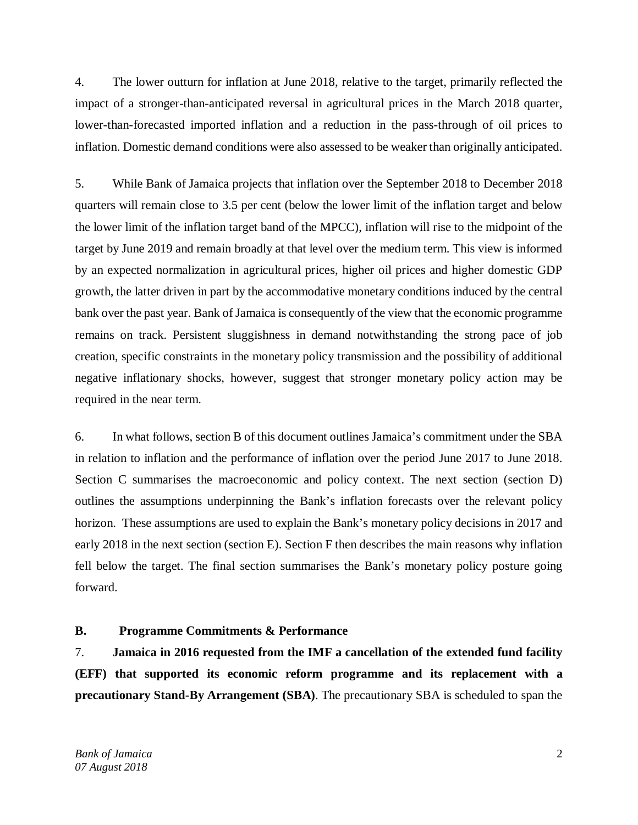4. The lower outturn for inflation at June 2018, relative to the target, primarily reflected the impact of a stronger-than-anticipated reversal in agricultural prices in the March 2018 quarter, lower-than-forecasted imported inflation and a reduction in the pass-through of oil prices to inflation. Domestic demand conditions were also assessed to be weaker than originally anticipated.

5. While Bank of Jamaica projects that inflation over the September 2018 to December 2018 quarters will remain close to 3.5 per cent (below the lower limit of the inflation target and below the lower limit of the inflation target band of the MPCC), inflation will rise to the midpoint of the target by June 2019 and remain broadly at that level over the medium term. This view is informed by an expected normalization in agricultural prices, higher oil prices and higher domestic GDP growth, the latter driven in part by the accommodative monetary conditions induced by the central bank over the past year. Bank of Jamaica is consequently of the view that the economic programme remains on track. Persistent sluggishness in demand notwithstanding the strong pace of job creation, specific constraints in the monetary policy transmission and the possibility of additional negative inflationary shocks, however, suggest that stronger monetary policy action may be required in the near term.

6. In what follows, section B of this document outlines Jamaica's commitment under the SBA in relation to inflation and the performance of inflation over the period June 2017 to June 2018. Section C summarises the macroeconomic and policy context. The next section (section D) outlines the assumptions underpinning the Bank's inflation forecasts over the relevant policy horizon. These assumptions are used to explain the Bank's monetary policy decisions in 2017 and early 2018 in the next section (section E). Section F then describes the main reasons why inflation fell below the target. The final section summarises the Bank's monetary policy posture going forward.

### **B. Programme Commitments & Performance**

7. **Jamaica in 2016 requested from the IMF a cancellation of the extended fund facility (EFF) that supported its economic reform programme and its replacement with a precautionary Stand-By Arrangement (SBA)**. The precautionary SBA is scheduled to span the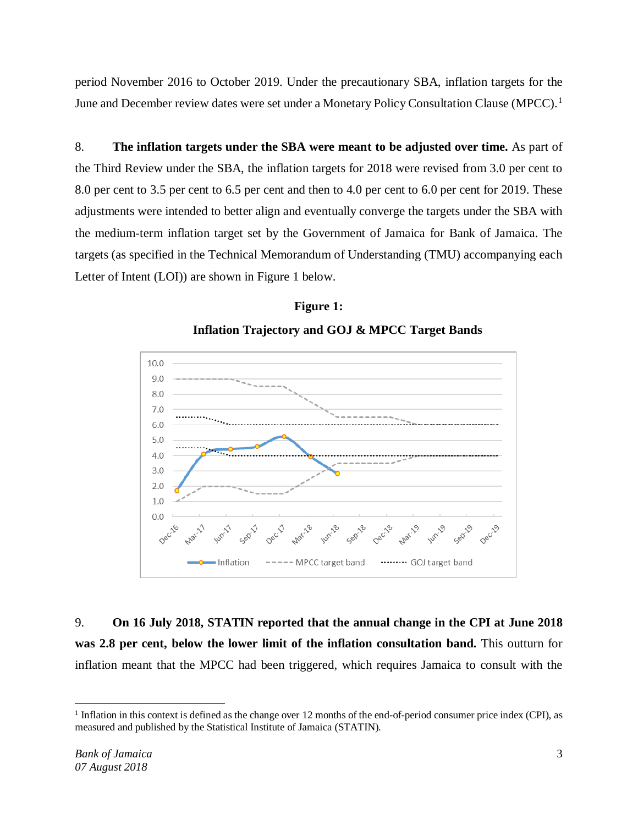period November 2016 to October 2019. Under the precautionary SBA, inflation targets for the June and December review dates were set under a Monetary Policy Consultation Clause (MPCC).<sup>[1](#page-2-0)</sup>

8. **The inflation targets under the SBA were meant to be adjusted over time.** As part of the Third Review under the SBA, the inflation targets for 2018 were revised from 3.0 per cent to 8.0 per cent to 3.5 per cent to 6.5 per cent and then to 4.0 per cent to 6.0 per cent for 2019. These adjustments were intended to better align and eventually converge the targets under the SBA with the medium-term inflation target set by the Government of Jamaica for Bank of Jamaica. The targets (as specified in the Technical Memorandum of Understanding (TMU) accompanying each Letter of Intent (LOI)) are shown in Figure 1 below.





9. **On 16 July 2018, STATIN reported that the annual change in the CPI at June 2018 was 2.8 per cent, below the lower limit of the inflation consultation band.** This outturn for inflation meant that the MPCC had been triggered, which requires Jamaica to consult with the

<span id="page-2-0"></span> $<sup>1</sup>$  Inflation in this context is defined as the change over 12 months of the end-of-period consumer price index (CPI), as</sup> measured and published by the Statistical Institute of Jamaica (STATIN).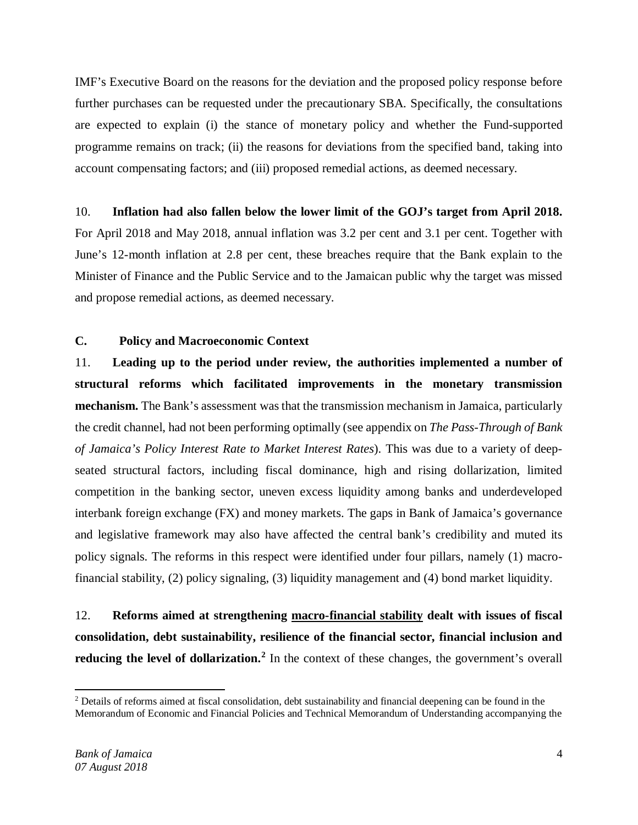IMF's Executive Board on the reasons for the deviation and the proposed policy response before further purchases can be requested under the precautionary SBA. Specifically, the consultations are expected to explain (i) the stance of monetary policy and whether the Fund-supported programme remains on track; (ii) the reasons for deviations from the specified band, taking into account compensating factors; and (iii) proposed remedial actions, as deemed necessary.

## 10. **Inflation had also fallen below the lower limit of the GOJ's target from April 2018.**

For April 2018 and May 2018, annual inflation was 3.2 per cent and 3.1 per cent. Together with June's 12-month inflation at 2.8 per cent, these breaches require that the Bank explain to the Minister of Finance and the Public Service and to the Jamaican public why the target was missed and propose remedial actions, as deemed necessary.

# **C. Policy and Macroeconomic Context**

11. **Leading up to the period under review, the authorities implemented a number of structural reforms which facilitated improvements in the monetary transmission mechanism.** The Bank's assessment was that the transmission mechanism in Jamaica, particularly the credit channel, had not been performing optimally (see appendix on *The Pass-Through of Bank of Jamaica's Policy Interest Rate to Market Interest Rates*). This was due to a variety of deepseated structural factors, including fiscal dominance, high and rising dollarization, limited competition in the banking sector, uneven excess liquidity among banks and underdeveloped interbank foreign exchange (FX) and money markets. The gaps in Bank of Jamaica's governance and legislative framework may also have affected the central bank's credibility and muted its policy signals. The reforms in this respect were identified under four pillars, namely (1) macrofinancial stability, (2) policy signaling, (3) liquidity management and (4) bond market liquidity.

12. **Reforms aimed at strengthening macro-financial stability dealt with issues of fiscal consolidation, debt sustainability, resilience of the financial sector, financial inclusion and reducing the level of dollarization.[2](#page-3-0)** In the context of these changes, the government's overall

<span id="page-3-0"></span> $\overline{a}$ <sup>2</sup> Details of reforms aimed at fiscal consolidation, debt sustainability and financial deepening can be found in the Memorandum of Economic and Financial Policies and Technical Memorandum of Understanding accompanying the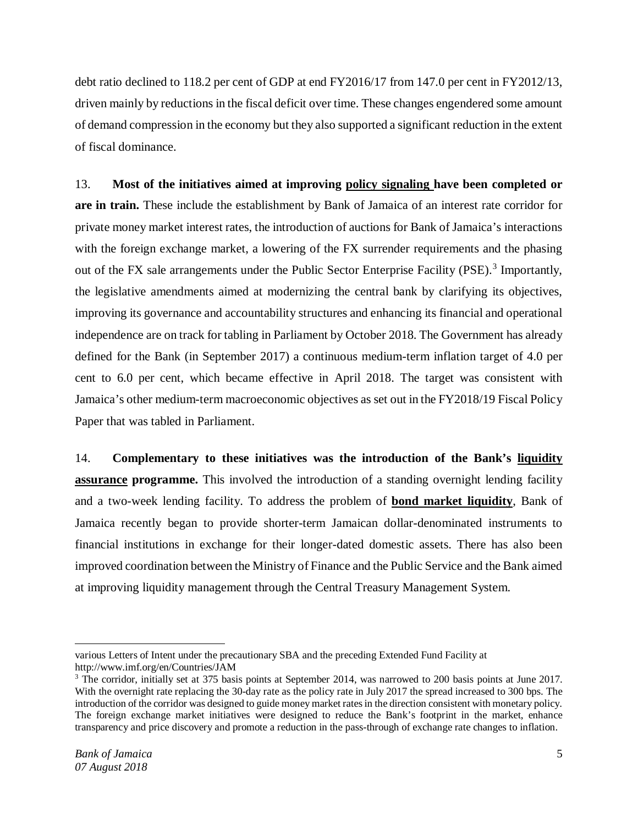debt ratio declined to 118.2 per cent of GDP at end FY2016/17 from 147.0 per cent in FY2012/13, driven mainly by reductions in the fiscal deficit over time. These changes engendered some amount of demand compression in the economy but they also supported a significant reduction in the extent of fiscal dominance.

13. **Most of the initiatives aimed at improving policy signaling have been completed or are in train.** These include the establishment by Bank of Jamaica of an interest rate corridor for private money market interest rates, the introduction of auctions for Bank of Jamaica's interactions with the foreign exchange market, a lowering of the FX surrender requirements and the phasing out of the FX sale arrangements under the Public Sector Enterprise Facility (PSE).<sup>[3](#page-4-0)</sup> Importantly, the legislative amendments aimed at modernizing the central bank by clarifying its objectives, improving its governance and accountability structures and enhancing its financial and operational independence are on track for tabling in Parliament by October 2018. The Government has already defined for the Bank (in September 2017) a continuous medium-term inflation target of 4.0 per cent to 6.0 per cent, which became effective in April 2018. The target was consistent with Jamaica's other medium-term macroeconomic objectives as set out in the FY2018/19 Fiscal Policy Paper that was tabled in Parliament.

14. **Complementary to these initiatives was the introduction of the Bank's liquidity assurance programme.** This involved the introduction of a standing overnight lending facility and a two-week lending facility. To address the problem of **bond market liquidity**, Bank of Jamaica recently began to provide shorter-term Jamaican dollar-denominated instruments to financial institutions in exchange for their longer-dated domestic assets. There has also been improved coordination between the Ministry of Finance and the Public Service and the Bank aimed at improving liquidity management through the Central Treasury Management System.

l various Letters of Intent under the precautionary SBA and the preceding Extended Fund Facility at http://www.imf.org/en/Countries/JAM

<span id="page-4-0"></span><sup>&</sup>lt;sup>3</sup> The corridor, initially set at 375 basis points at September 2014, was narrowed to 200 basis points at June 2017. With the overnight rate replacing the 30-day rate as the policy rate in July 2017 the spread increased to 300 bps. The introduction of the corridor was designed to guide money market rates in the direction consistent with monetary policy. The foreign exchange market initiatives were designed to reduce the Bank's footprint in the market, enhance transparency and price discovery and promote a reduction in the pass-through of exchange rate changes to inflation.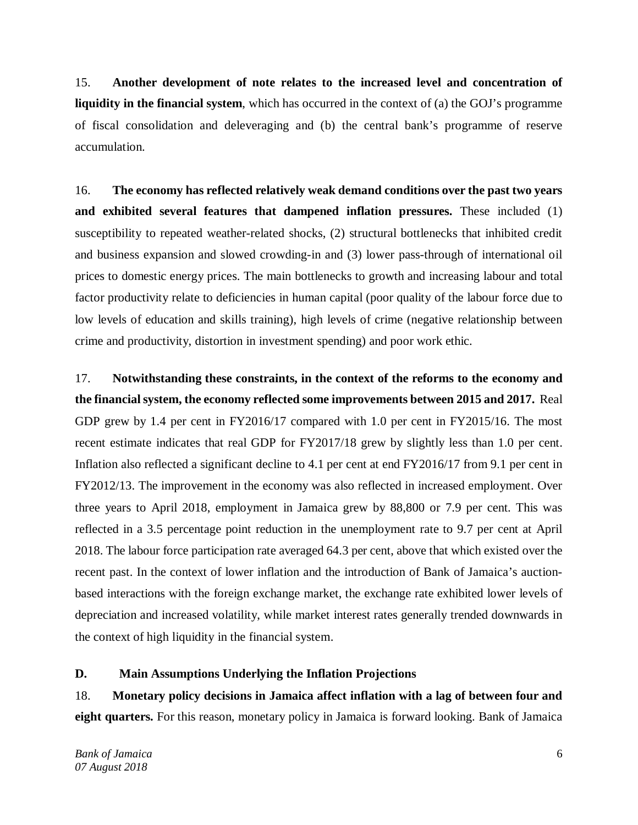15. **Another development of note relates to the increased level and concentration of liquidity in the financial system**, which has occurred in the context of (a) the GOJ's programme of fiscal consolidation and deleveraging and (b) the central bank's programme of reserve accumulation.

16. **The economy has reflected relatively weak demand conditions over the past two years and exhibited several features that dampened inflation pressures.** These included (1) susceptibility to repeated weather-related shocks, (2) structural bottlenecks that inhibited credit and business expansion and slowed crowding-in and (3) lower pass-through of international oil prices to domestic energy prices. The main bottlenecks to growth and increasing labour and total factor productivity relate to deficiencies in human capital (poor quality of the labour force due to low levels of education and skills training), high levels of crime (negative relationship between crime and productivity, distortion in investment spending) and poor work ethic.

17. **Notwithstanding these constraints, in the context of the reforms to the economy and the financial system, the economy reflected some improvements between 2015 and 2017.** Real GDP grew by 1.4 per cent in FY2016/17 compared with 1.0 per cent in FY2015/16. The most recent estimate indicates that real GDP for FY2017/18 grew by slightly less than 1.0 per cent. Inflation also reflected a significant decline to 4.1 per cent at end FY2016/17 from 9.1 per cent in FY2012/13. The improvement in the economy was also reflected in increased employment. Over three years to April 2018, employment in Jamaica grew by 88,800 or 7.9 per cent. This was reflected in a 3.5 percentage point reduction in the unemployment rate to 9.7 per cent at April 2018. The labour force participation rate averaged 64.3 per cent, above that which existed over the recent past. In the context of lower inflation and the introduction of Bank of Jamaica's auctionbased interactions with the foreign exchange market, the exchange rate exhibited lower levels of depreciation and increased volatility, while market interest rates generally trended downwards in the context of high liquidity in the financial system.

### **D. Main Assumptions Underlying the Inflation Projections**

18. **Monetary policy decisions in Jamaica affect inflation with a lag of between four and eight quarters.** For this reason, monetary policy in Jamaica is forward looking. Bank of Jamaica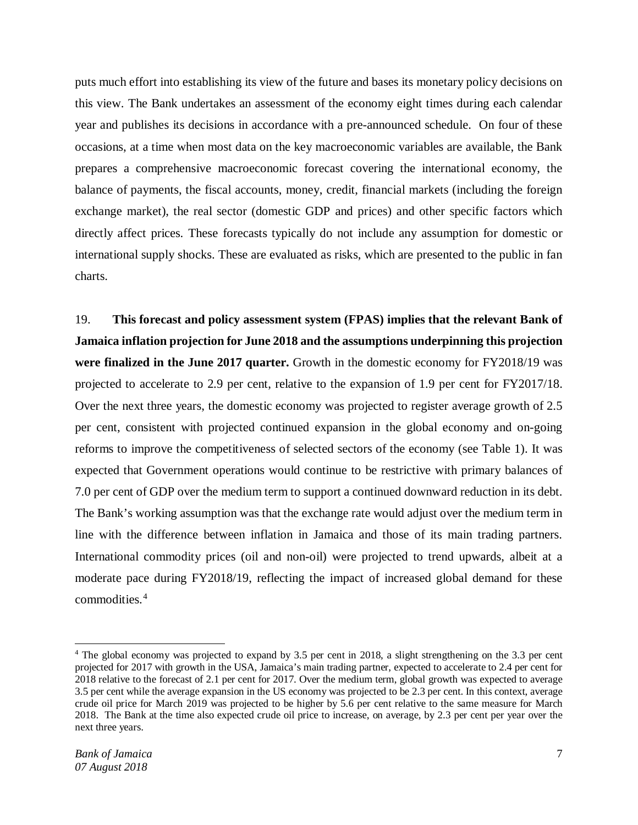puts much effort into establishing its view of the future and bases its monetary policy decisions on this view. The Bank undertakes an assessment of the economy eight times during each calendar year and publishes its decisions in accordance with a pre-announced schedule. On four of these occasions, at a time when most data on the key macroeconomic variables are available, the Bank prepares a comprehensive macroeconomic forecast covering the international economy, the balance of payments, the fiscal accounts, money, credit, financial markets (including the foreign exchange market), the real sector (domestic GDP and prices) and other specific factors which directly affect prices. These forecasts typically do not include any assumption for domestic or international supply shocks. These are evaluated as risks, which are presented to the public in fan charts.

19. **This forecast and policy assessment system (FPAS) implies that the relevant Bank of Jamaica inflation projection for June 2018 and the assumptions underpinning this projection were finalized in the June 2017 quarter.** Growth in the domestic economy for FY2018/19 was projected to accelerate to 2.9 per cent, relative to the expansion of 1.9 per cent for FY2017/18. Over the next three years, the domestic economy was projected to register average growth of 2.5 per cent, consistent with projected continued expansion in the global economy and on-going reforms to improve the competitiveness of selected sectors of the economy (see Table 1). It was expected that Government operations would continue to be restrictive with primary balances of 7.0 per cent of GDP over the medium term to support a continued downward reduction in its debt. The Bank's working assumption was that the exchange rate would adjust over the medium term in line with the difference between inflation in Jamaica and those of its main trading partners. International commodity prices (oil and non-oil) were projected to trend upwards, albeit at a moderate pace during FY2018/19, reflecting the impact of increased global demand for these commodities.[4](#page-6-0)

l

<span id="page-6-0"></span><sup>4</sup> The global economy was projected to expand by 3.5 per cent in 2018, a slight strengthening on the 3.3 per cent projected for 2017 with growth in the USA, Jamaica's main trading partner, expected to accelerate to 2.4 per cent for 2018 relative to the forecast of 2.1 per cent for 2017. Over the medium term, global growth was expected to average 3.5 per cent while the average expansion in the US economy was projected to be 2.3 per cent. In this context, average crude oil price for March 2019 was projected to be higher by 5.6 per cent relative to the same measure for March 2018. The Bank at the time also expected crude oil price to increase, on average, by 2.3 per cent per year over the next three years.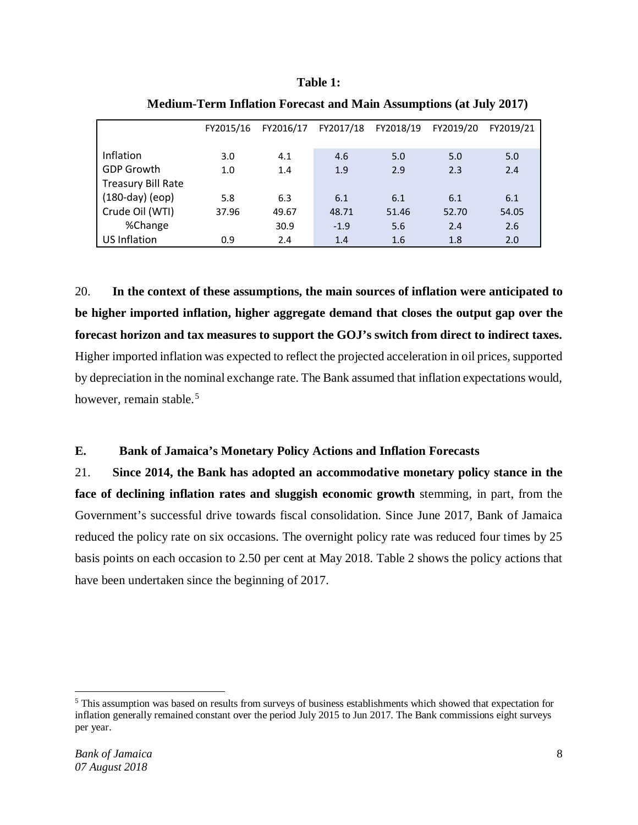#### **Table 1:**

|                    | FY2015/16 | FY2016/17 |        | FY2017/18 FY2018/19 | FY2019/20 | FY2019/21 |
|--------------------|-----------|-----------|--------|---------------------|-----------|-----------|
| Inflation          | 3.0       | 4.1       | 4.6    | 5.0                 | 5.0       | 5.0       |
| <b>GDP Growth</b>  | 1.0       | 1.4       | 1.9    | 2.9                 | 2.3       | 2.4       |
| Treasury Bill Rate |           |           |        |                     |           |           |
| $(180-day)$ (eop)  | 5.8       | 6.3       | 6.1    | 6.1                 | 6.1       | 6.1       |
| Crude Oil (WTI)    | 37.96     | 49.67     | 48.71  | 51.46               | 52.70     | 54.05     |
| %Change            |           | 30.9      | $-1.9$ | 5.6                 | 2.4       | 2.6       |
| US Inflation       | 0.9       | 2.4       | 1.4    | 1.6                 | 1.8       | 2.0       |

**Medium-Term Inflation Forecast and Main Assumptions (at July 2017)**

20. **In the context of these assumptions, the main sources of inflation were anticipated to be higher imported inflation, higher aggregate demand that closes the output gap over the forecast horizon and tax measures to support the GOJ's switch from direct to indirect taxes.** Higher imported inflation was expected to reflect the projected acceleration in oil prices, supported by depreciation in the nominal exchange rate. The Bank assumed that inflation expectations would, however, remain stable.<sup>[5](#page-7-0)</sup>

# **E. Bank of Jamaica's Monetary Policy Actions and Inflation Forecasts**

21. **Since 2014, the Bank has adopted an accommodative monetary policy stance in the face of declining inflation rates and sluggish economic growth** stemming, in part, from the Government's successful drive towards fiscal consolidation. Since June 2017, Bank of Jamaica reduced the policy rate on six occasions. The overnight policy rate was reduced four times by 25 basis points on each occasion to 2.50 per cent at May 2018. Table 2 shows the policy actions that have been undertaken since the beginning of 2017.

l

<span id="page-7-0"></span><sup>5</sup> This assumption was based on results from surveys of business establishments which showed that expectation for inflation generally remained constant over the period July 2015 to Jun 2017. The Bank commissions eight surveys per year.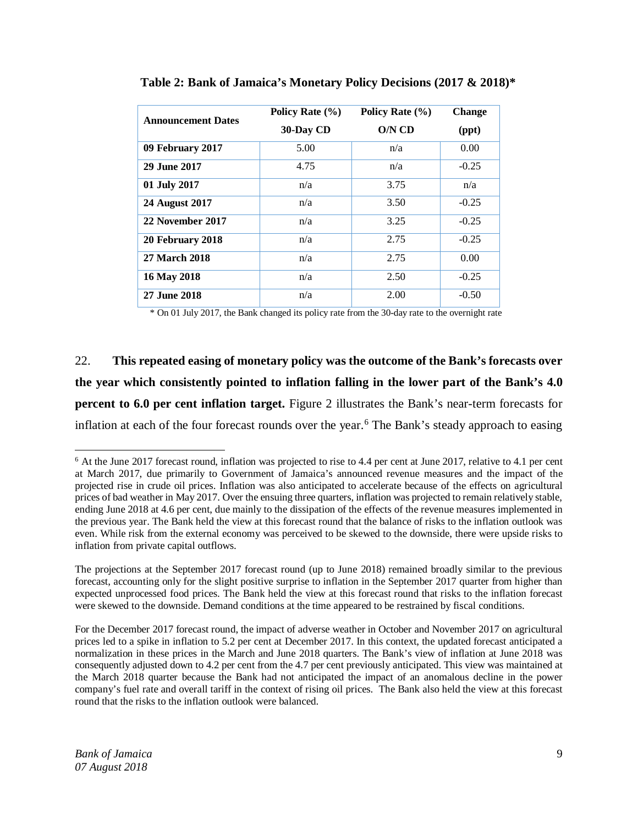| <b>Announcement Dates</b> | Policy Rate (%) | Policy Rate $(\% )$ | <b>Change</b> |
|---------------------------|-----------------|---------------------|---------------|
|                           | 30-Day CD       | O/N CD              | (ppt)         |
| 09 February 2017          | 5.00            | n/a                 | 0.00          |
| 29 June 2017              | 4.75            | n/a                 | $-0.25$       |
| 01 July 2017              | n/a             | 3.75                | n/a           |
| 24 August 2017            | n/a             | 3.50                | $-0.25$       |
| 22 November 2017          | n/a             | 3.25                | $-0.25$       |
| 20 February 2018          | n/a             | 2.75                | $-0.25$       |
| 27 March 2018             | n/a             | 2.75                | 0.00          |
| 16 May 2018               | n/a             | 2.50                | $-0.25$       |
| 27 June 2018              | n/a             | 2.00                | $-0.50$       |

**Table 2: Bank of Jamaica's Monetary Policy Decisions (2017 & 2018)\***

\* On 01 July 2017, the Bank changed its policy rate from the 30-day rate to the overnight rate

22. **This repeated easing of monetary policy was the outcome of the Bank's forecasts over the year which consistently pointed to inflation falling in the lower part of the Bank's 4.0 percent to 6.0 per cent inflation target.** Figure 2 illustrates the Bank's near-term forecasts for inflation at each of the four forecast rounds over the year.<sup>[6](#page-8-0)</sup> The Bank's steady approach to easing

<span id="page-8-0"></span> $6$  At the June 2017 forecast round, inflation was projected to rise to 4.4 per cent at June 2017, relative to 4.1 per cent at March 2017, due primarily to Government of Jamaica's announced revenue measures and the impact of the projected rise in crude oil prices. Inflation was also anticipated to accelerate because of the effects on agricultural prices of bad weather in May 2017. Over the ensuing three quarters, inflation was projected to remain relatively stable, ending June 2018 at 4.6 per cent, due mainly to the dissipation of the effects of the revenue measures implemented in the previous year. The Bank held the view at this forecast round that the balance of risks to the inflation outlook was even. While risk from the external economy was perceived to be skewed to the downside, there were upside risks to inflation from private capital outflows.

The projections at the September 2017 forecast round (up to June 2018) remained broadly similar to the previous forecast, accounting only for the slight positive surprise to inflation in the September 2017 quarter from higher than expected unprocessed food prices. The Bank held the view at this forecast round that risks to the inflation forecast were skewed to the downside. Demand conditions at the time appeared to be restrained by fiscal conditions.

For the December 2017 forecast round, the impact of adverse weather in October and November 2017 on agricultural prices led to a spike in inflation to 5.2 per cent at December 2017. In this context, the updated forecast anticipated a normalization in these prices in the March and June 2018 quarters. The Bank's view of inflation at June 2018 was consequently adjusted down to 4.2 per cent from the 4.7 per cent previously anticipated. This view was maintained at the March 2018 quarter because the Bank had not anticipated the impact of an anomalous decline in the power company's fuel rate and overall tariff in the context of rising oil prices. The Bank also held the view at this forecast round that the risks to the inflation outlook were balanced.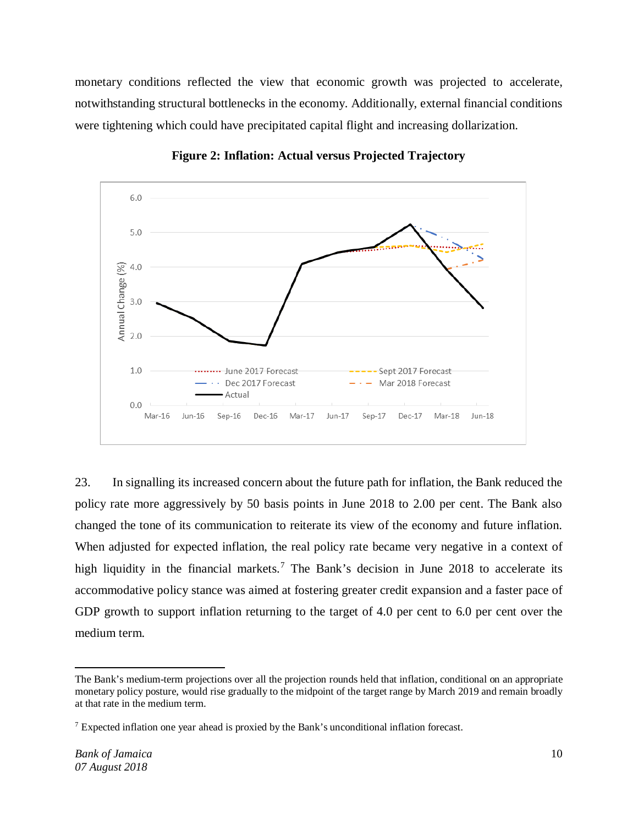monetary conditions reflected the view that economic growth was projected to accelerate, notwithstanding structural bottlenecks in the economy. Additionally, external financial conditions were tightening which could have precipitated capital flight and increasing dollarization.



**Figure 2: Inflation: Actual versus Projected Trajectory**

23. In signalling its increased concern about the future path for inflation, the Bank reduced the policy rate more aggressively by 50 basis points in June 2018 to 2.00 per cent. The Bank also changed the tone of its communication to reiterate its view of the economy and future inflation. When adjusted for expected inflation, the real policy rate became very negative in a context of high liquidity in the financial markets.<sup>[7](#page-9-0)</sup> The Bank's decision in June 2018 to accelerate its accommodative policy stance was aimed at fostering greater credit expansion and a faster pace of GDP growth to support inflation returning to the target of 4.0 per cent to 6.0 per cent over the medium term.

The Bank's medium-term projections over all the projection rounds held that inflation, conditional on an appropriate monetary policy posture, would rise gradually to the midpoint of the target range by March 2019 and remain broadly at that rate in the medium term.

<span id="page-9-0"></span> $<sup>7</sup>$  Expected inflation one year ahead is proxied by the Bank's unconditional inflation forecast.</sup>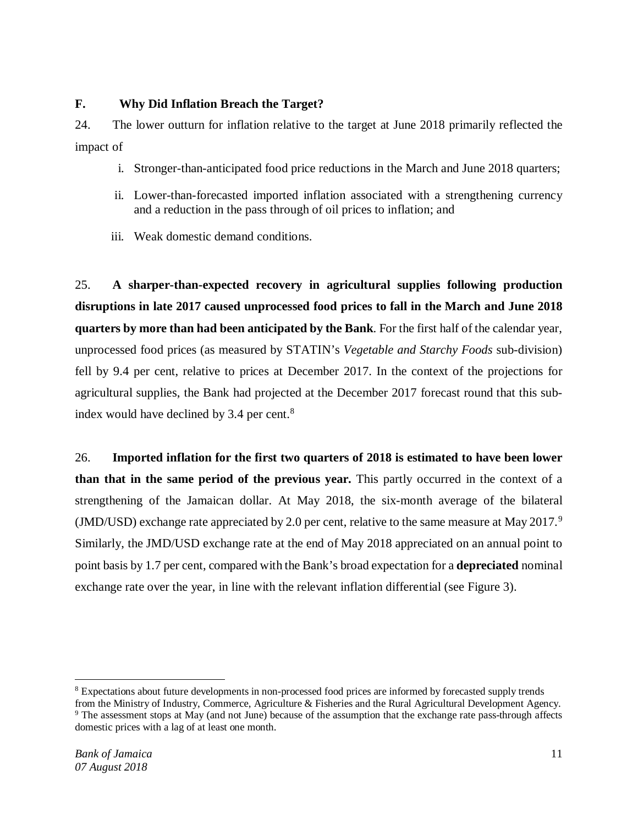## **F. Why Did Inflation Breach the Target?**

24. The lower outturn for inflation relative to the target at June 2018 primarily reflected the impact of

- i. Stronger-than-anticipated food price reductions in the March and June 2018 quarters;
- ii. Lower-than-forecasted imported inflation associated with a strengthening currency and a reduction in the pass through of oil prices to inflation; and
- iii. Weak domestic demand conditions.

25. **A sharper-than-expected recovery in agricultural supplies following production disruptions in late 2017 caused unprocessed food prices to fall in the March and June 2018 quarters by more than had been anticipated by the Bank**. For the first half of the calendar year, unprocessed food prices (as measured by STATIN's *Vegetable and Starchy Foods* sub-division) fell by 9.4 per cent, relative to prices at December 2017. In the context of the projections for agricultural supplies, the Bank had projected at the December 2017 forecast round that this subindex would have declined by 3.4 per cent. $8$ 

26. **Imported inflation for the first two quarters of 2018 is estimated to have been lower than that in the same period of the previous year.** This partly occurred in the context of a strengthening of the Jamaican dollar. At May 2018, the six-month average of the bilateral (JMD/USD) exchange rate appreciated by 2.0 per cent, relative to the same measure at May 2017.<sup>[9](#page-10-1)</sup> Similarly, the JMD/USD exchange rate at the end of May 2018 appreciated on an annual point to point basis by 1.7 per cent, compared with the Bank's broad expectation for a **depreciated** nominal exchange rate over the year, in line with the relevant inflation differential (see Figure 3).

l <sup>8</sup> Expectations about future developments in non-processed food prices are informed by forecasted supply trends

<span id="page-10-1"></span><span id="page-10-0"></span>from the Ministry of Industry, Commerce, Agriculture & Fisheries and the Rural Agricultural Development Agency. <sup>9</sup> The assessment stops at May (and not June) because of the assumption that the exchange rate pass-through affects domestic prices with a lag of at least one month.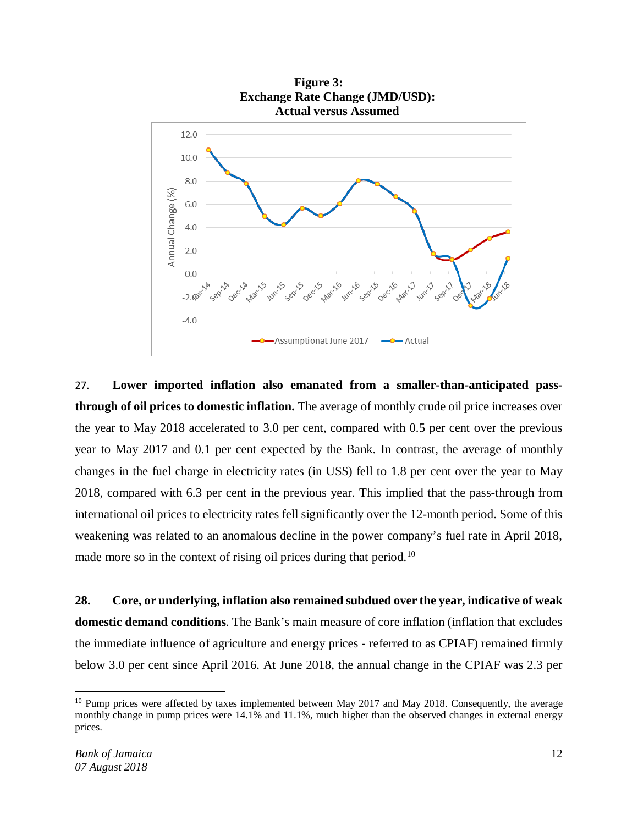

27. **Lower imported inflation also emanated from a smaller-than-anticipated passthrough of oil prices to domestic inflation.** The average of monthly crude oil price increases over the year to May 2018 accelerated to 3.0 per cent, compared with 0.5 per cent over the previous year to May 2017 and 0.1 per cent expected by the Bank. In contrast, the average of monthly changes in the fuel charge in electricity rates (in US\$) fell to 1.8 per cent over the year to May 2018, compared with 6.3 per cent in the previous year. This implied that the pass-through from international oil prices to electricity rates fell significantly over the 12-month period. Some of this weakening was related to an anomalous decline in the power company's fuel rate in April 2018, made more so in the context of rising oil prices during that period.<sup>[10](#page-11-0)</sup>

**28. Core, or underlying, inflation also remained subdued over the year, indicative of weak domestic demand conditions**. The Bank's main measure of core inflation (inflation that excludes the immediate influence of agriculture and energy prices - referred to as CPIAF) remained firmly below 3.0 per cent since April 2016. At June 2018, the annual change in the CPIAF was 2.3 per

l

<span id="page-11-0"></span><sup>&</sup>lt;sup>10</sup> Pump prices were affected by taxes implemented between May 2017 and May 2018. Consequently, the average monthly change in pump prices were 14.1% and 11.1%, much higher than the observed changes in external energy prices.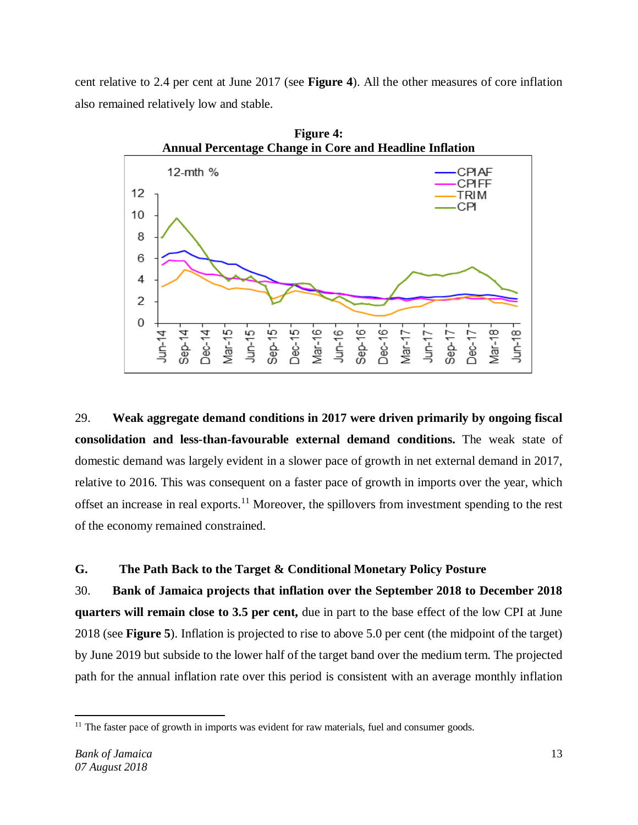cent relative to 2.4 per cent at June 2017 (see **Figure 4**). All the other measures of core inflation also remained relatively low and stable.



29. **Weak aggregate demand conditions in 2017 were driven primarily by ongoing fiscal consolidation and less-than-favourable external demand conditions.** The weak state of domestic demand was largely evident in a slower pace of growth in net external demand in 2017, relative to 2016. This was consequent on a faster pace of growth in imports over the year, which offset an increase in real exports.<sup>[11](#page-12-0)</sup> Moreover, the spillovers from investment spending to the rest of the economy remained constrained.

# **G. The Path Back to the Target & Conditional Monetary Policy Posture**

30. **Bank of Jamaica projects that inflation over the September 2018 to December 2018 quarters will remain close to 3.5 per cent,** due in part to the base effect of the low CPI at June 2018 (see **Figure 5**). Inflation is projected to rise to above 5.0 per cent (the midpoint of the target) by June 2019 but subside to the lower half of the target band over the medium term. The projected path for the annual inflation rate over this period is consistent with an average monthly inflation

<span id="page-12-0"></span> $\overline{\phantom{a}}$  $11$  The faster pace of growth in imports was evident for raw materials, fuel and consumer goods.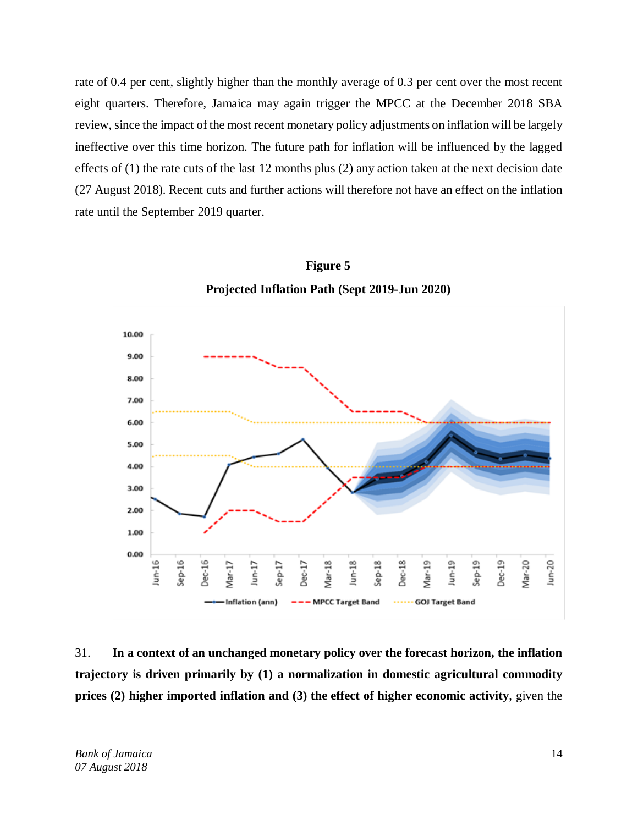rate of 0.4 per cent, slightly higher than the monthly average of 0.3 per cent over the most recent eight quarters. Therefore, Jamaica may again trigger the MPCC at the December 2018 SBA review, since the impact of the most recent monetary policy adjustments on inflation will be largely ineffective over this time horizon. The future path for inflation will be influenced by the lagged effects of (1) the rate cuts of the last 12 months plus (2) any action taken at the next decision date (27 August 2018). Recent cuts and further actions will therefore not have an effect on the inflation rate until the September 2019 quarter.



**Figure 5 Projected Inflation Path (Sept 2019-Jun 2020)**

31. **In a context of an unchanged monetary policy over the forecast horizon, the inflation trajectory is driven primarily by (1) a normalization in domestic agricultural commodity prices (2) higher imported inflation and (3) the effect of higher economic activity**, given the

*Bank of Jamaica* 14 *07 August 2018*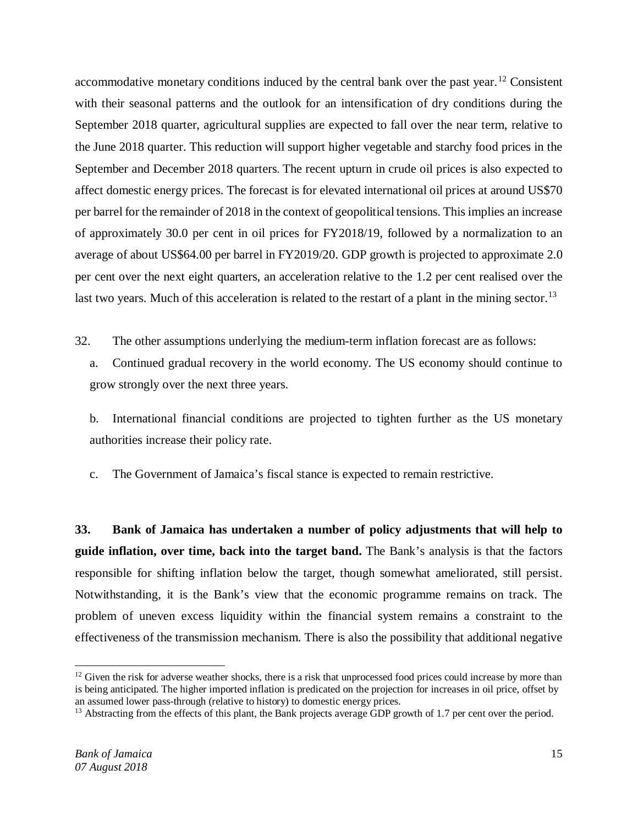accommodative monetary conditions induced by the central bank over the past year.<sup>[12](#page-14-0)</sup> Consistent with their seasonal patterns and the outlook for an intensification of dry conditions during the September 2018 quarter, agricultural supplies are expected to fall over the near term, relative to the June 2018 quarter. This reduction will support higher vegetable and starchy food prices in the September and December 2018 quarters. The recent upturn in crude oil prices is also expected to affect domestic energy prices. The forecast is for elevated international oil prices at around US\$70 per barrel for the remainder of 2018 in the context of geopolitical tensions. This implies an increase of approximately 30.0 per cent in oil prices for FY2018/19, followed by a normalization to an average of about US\$64.00 per barrel in FY2019/20. GDP growth is projected to approximate 2.0 per cent over the next eight quarters, an acceleration relative to the 1.2 per cent realised over the last two years. Much of this acceleration is related to the restart of a plant in the mining sector.<sup>[13](#page-14-1)</sup>

32. The other assumptions underlying the medium-term inflation forecast are as follows:

a. Continued gradual recovery in the world economy. The US economy should continue to grow strongly over the next three years.

b. International financial conditions are projected to tighten further as the US monetary authorities increase their policy rate.

c. The Government of Jamaica's fiscal stance is expected to remain restrictive.

**33. Bank of Jamaica has undertaken a number of policy adjustments that will help to guide inflation, over time, back into the target band.** The Bank's analysis is that the factors responsible for shifting inflation below the target, though somewhat ameliorated, still persist. Notwithstanding, it is the Bank's view that the economic programme remains on track. The problem of uneven excess liquidity within the financial system remains a constraint to the effectiveness of the transmission mechanism. There is also the possibility that additional negative

<span id="page-14-0"></span> $\overline{\phantom{a}}$  $12$  Given the risk for adverse weather shocks, there is a risk that unprocessed food prices could increase by more than is being anticipated. The higher imported inflation is predicated on the projection for increases in oil price, offset by an assumed lower pass-through (relative to history) to domestic energy prices.

<span id="page-14-1"></span> $13$  Abstracting from the effects of this plant, the Bank projects average GDP growth of 1.7 per cent over the period.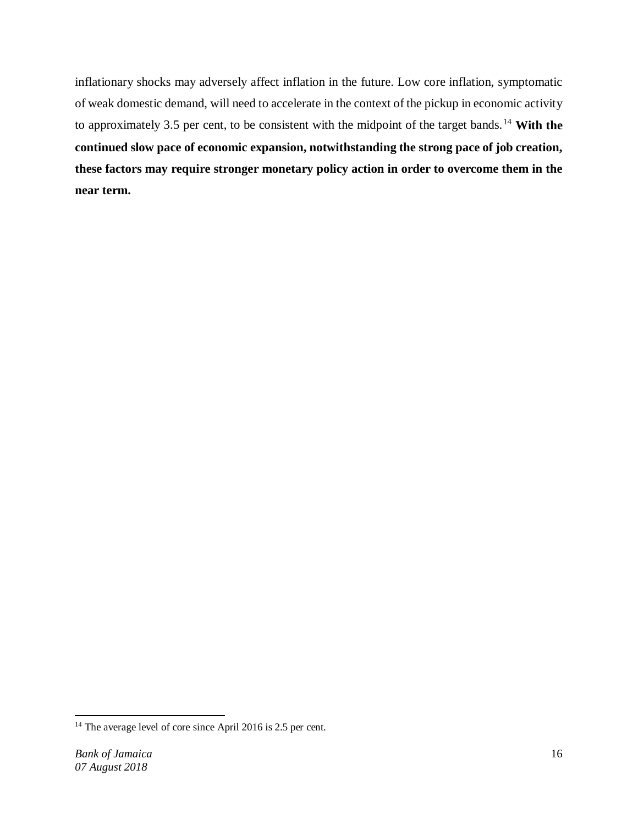inflationary shocks may adversely affect inflation in the future. Low core inflation, symptomatic of weak domestic demand, will need to accelerate in the context of the pickup in economic activity to approximately 3.5 per cent, to be consistent with the midpoint of the target bands. [14](#page-15-0) **With the continued slow pace of economic expansion, notwithstanding the strong pace of job creation, these factors may require stronger monetary policy action in order to overcome them in the near term.**

<span id="page-15-0"></span> $14$  The average level of core since April 2016 is 2.5 per cent.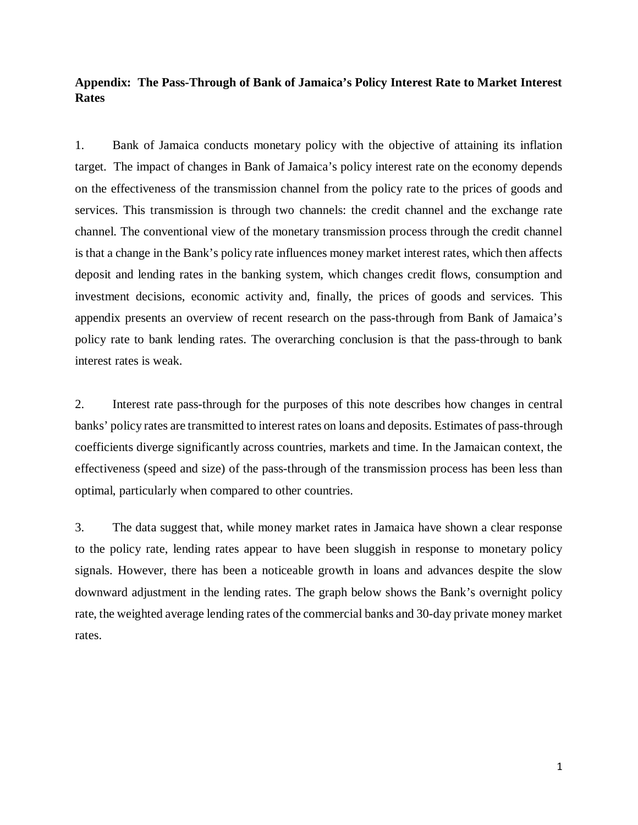### **Appendix: The Pass-Through of Bank of Jamaica's Policy Interest Rate to Market Interest Rates**

1. Bank of Jamaica conducts monetary policy with the objective of attaining its inflation target. The impact of changes in Bank of Jamaica's policy interest rate on the economy depends on the effectiveness of the transmission channel from the policy rate to the prices of goods and services. This transmission is through two channels: the credit channel and the exchange rate channel. The conventional view of the monetary transmission process through the credit channel is that a change in the Bank's policy rate influences money market interest rates, which then affects deposit and lending rates in the banking system, which changes credit flows, consumption and investment decisions, economic activity and, finally, the prices of goods and services. This appendix presents an overview of recent research on the pass-through from Bank of Jamaica's policy rate to bank lending rates. The overarching conclusion is that the pass-through to bank interest rates is weak.

2. Interest rate pass-through for the purposes of this note describes how changes in central banks' policy rates are transmitted to interest rates on loans and deposits. Estimates of pass-through coefficients diverge significantly across countries, markets and time. In the Jamaican context, the effectiveness (speed and size) of the pass-through of the transmission process has been less than optimal, particularly when compared to other countries.

3. The data suggest that, while money market rates in Jamaica have shown a clear response to the policy rate, lending rates appear to have been sluggish in response to monetary policy signals. However, there has been a noticeable growth in loans and advances despite the slow downward adjustment in the lending rates. The graph below shows the Bank's overnight policy rate, the weighted average lending rates of the commercial banks and 30-day private money market rates.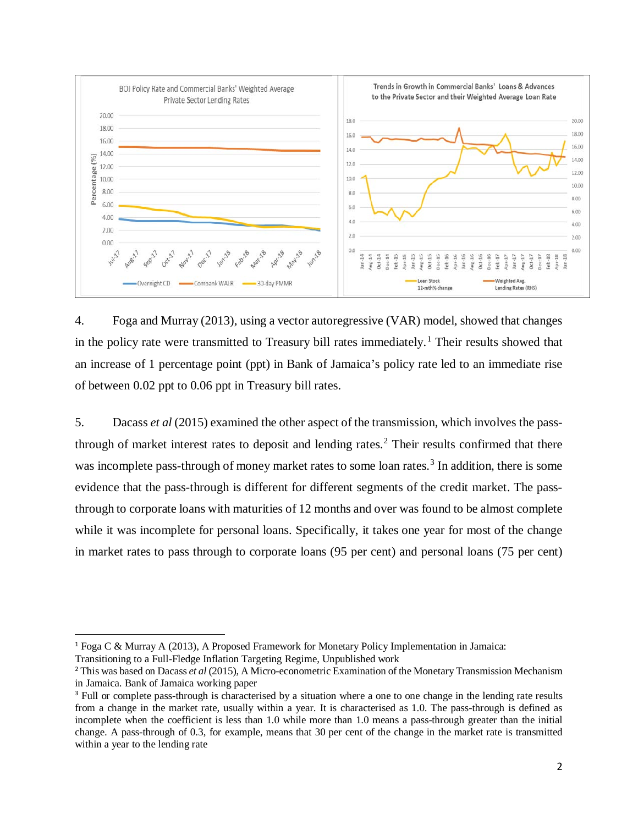

4. Foga and Murray (2013), using a vector autoregressive (VAR) model, showed that changes in the policy rate were transmitted to Treasury bill rates immediately. [1](#page-17-0) Their results showed that an increase of 1 percentage point (ppt) in Bank of Jamaica's policy rate led to an immediate rise of between 0.02 ppt to 0.06 ppt in Treasury bill rates.

5. Dacass *et al* (2015) examined the other aspect of the transmission, which involves the passthrough of market interest rates to deposit and lending rates. [2](#page-17-1) Their results confirmed that there was incomplete pass-through of money market rates to some loan rates.<sup>[3](#page-17-2)</sup> In addition, there is some evidence that the pass-through is different for different segments of the credit market. The passthrough to corporate loans with maturities of 12 months and over was found to be almost complete while it was incomplete for personal loans. Specifically, it takes one year for most of the change in market rates to pass through to corporate loans (95 per cent) and personal loans (75 per cent)

<span id="page-17-0"></span> <sup>1</sup> Foga <sup>C</sup> & Murray <sup>A</sup> (2013), A Proposed Framework for Monetary Policy Implementation in Jamaica: Transitioning to a Full-Fledge Inflation Targeting Regime, Unpublished work

<span id="page-17-1"></span><sup>2</sup> This was based on Dacass *et al* (2015), A Micro-econometric Examination of the Monetary Transmission Mechanism in Jamaica. Bank of Jamaica working paper

<span id="page-17-2"></span><sup>&</sup>lt;sup>3</sup> Full or complete pass-through is characterised by a situation where a one to one change in the lending rate results from a change in the market rate, usually within a year. It is characterised as 1.0. The pass-through is defined as incomplete when the coefficient is less than 1.0 while more than 1.0 means a pass-through greater than the initial change. A pass-through of 0.3, for example, means that 30 per cent of the change in the market rate is transmitted within a year to the lending rate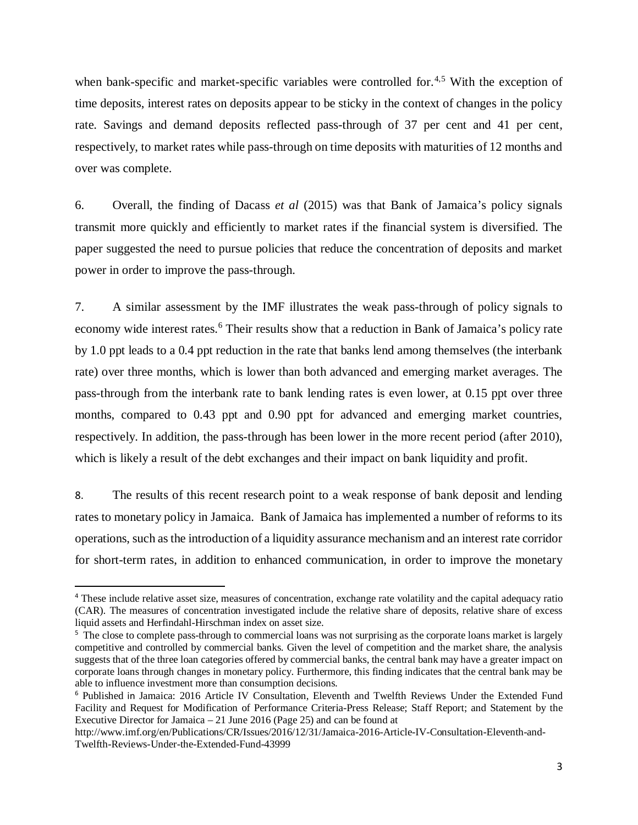when bank-specific and market-specific variables were controlled for.<sup>[4](#page-18-0),[5](#page-18-1)</sup> With the exception of time deposits, interest rates on deposits appear to be sticky in the context of changes in the policy rate. Savings and demand deposits reflected pass-through of 37 per cent and 41 per cent, respectively, to market rates while pass-through on time deposits with maturities of 12 months and over was complete.

6. Overall, the finding of Dacass *et al* (2015) was that Bank of Jamaica's policy signals transmit more quickly and efficiently to market rates if the financial system is diversified. The paper suggested the need to pursue policies that reduce the concentration of deposits and market power in order to improve the pass-through.

7. A similar assessment by the IMF illustrates the weak pass-through of policy signals to economy wide interest rates.<sup>[6](#page-18-2)</sup> Their results show that a reduction in Bank of Jamaica's policy rate by 1.0 ppt leads to a 0.4 ppt reduction in the rate that banks lend among themselves (the interbank rate) over three months, which is lower than both advanced and emerging market averages. The pass-through from the interbank rate to bank lending rates is even lower, at 0.15 ppt over three months, compared to 0.43 ppt and 0.90 ppt for advanced and emerging market countries, respectively. In addition, the pass-through has been lower in the more recent period (after 2010), which is likely a result of the debt exchanges and their impact on bank liquidity and profit.

8. The results of this recent research point to a weak response of bank deposit and lending rates to monetary policy in Jamaica. Bank of Jamaica has implemented a number of reforms to its operations, such as the introduction of a liquidity assurance mechanism and an interest rate corridor for short-term rates, in addition to enhanced communication, in order to improve the monetary

<span id="page-18-0"></span> <sup>4</sup> These include relative asset size, measures of concentration, exchange rate volatility and the capital adequacy ratio (CAR). The measures of concentration investigated include the relative share of deposits, relative share of excess liquid assets and Herfindahl-Hirschman index on asset size.

<span id="page-18-1"></span><sup>&</sup>lt;sup>5</sup> The close to complete pass-through to commercial loans was not surprising as the corporate loans market is largely competitive and controlled by commercial banks. Given the level of competition and the market share, the analysis suggests that of the three loan categories offered by commercial banks, the central bank may have a greater impact on corporate loans through changes in monetary policy. Furthermore, this finding indicates that the central bank may be able to influence investment more than consumption decisions.

<span id="page-18-2"></span><sup>6</sup> Published in Jamaica: 2016 Article IV Consultation, Eleventh and Twelfth Reviews Under the Extended Fund Facility and Request for Modification of Performance Criteria-Press Release; Staff Report; and Statement by the Executive Director for Jamaica – 21 June 2016 (Page 25) and can be found at

http://www.imf.org/en/Publications/CR/Issues/2016/12/31/Jamaica-2016-Article-IV-Consultation-Eleventh-and-Twelfth-Reviews-Under-the-Extended-Fund-43999